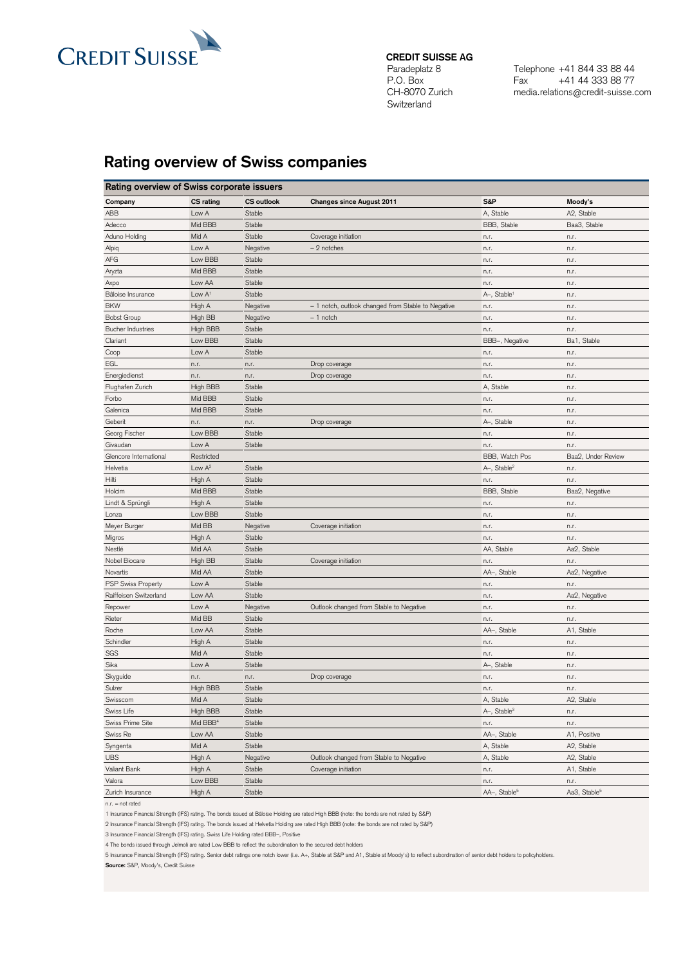

## **CREDIT SUISSE AG**

Paradeplatz 8 P.O. Box CH-8070 Zurich Switzerland

Telephone +41 844 33 88 44 Fax +41 44 333 88 77 media.relations@credit-suisse.com

## **Rating overview of Swiss companies**

| Rating overview of Swiss corporate issuers |                      |                   |                                                    |                          |                          |  |  |  |
|--------------------------------------------|----------------------|-------------------|----------------------------------------------------|--------------------------|--------------------------|--|--|--|
| Company                                    | <b>CS</b> rating     | <b>CS</b> outlook | <b>Changes since August 2011</b>                   | S&P                      | Moody's                  |  |  |  |
| ABB                                        | Low A                | Stable            |                                                    | A, Stable                | A2, Stable               |  |  |  |
| Adecco                                     | Mid BBB              | Stable            |                                                    | BBB, Stable              | Baa3, Stable             |  |  |  |
| Aduno Holding                              | Mid A                | Stable            | Coverage initiation                                | n.r.                     | n.r.                     |  |  |  |
| Alpiq                                      | Low A                | Negative          | - 2 notches                                        | n.r.                     | n.r.                     |  |  |  |
| AFG                                        | Low BBB              | Stable            |                                                    | n.r.                     | n.r.                     |  |  |  |
| Aryzta                                     | Mid BBB              | Stable            |                                                    | n.r.                     | n.r.                     |  |  |  |
| Axpo                                       | Low AA               | Stable            |                                                    | n.r.                     | n.r.                     |  |  |  |
| Bâloise Insurance                          | Low $A1$             | Stable            |                                                    | A-, Stable <sup>1</sup>  | n.r.                     |  |  |  |
| <b>BKW</b>                                 | High A               | Negative          | - 1 notch, outlook changed from Stable to Negative | n.r.                     | n.r.                     |  |  |  |
| <b>Bobst Group</b>                         | High BB              | Negative          | $-1$ notch                                         | n.r.                     | n.r.                     |  |  |  |
| <b>Bucher Industries</b>                   | High BBB             | Stable            |                                                    | n.r.                     | n.r.                     |  |  |  |
| Clariant                                   | Low BBB              | Stable            |                                                    | BBB-, Negative           | Ba1, Stable              |  |  |  |
| Coop                                       | Low A                | Stable            |                                                    | n.r.                     | n.r.                     |  |  |  |
| EGL                                        | n.r.                 | n.r.              | Drop coverage                                      | n.r.                     | n.r.                     |  |  |  |
| Energiedienst                              | n.r.                 | n.r.              | Drop coverage                                      | n.r.                     | n.r.                     |  |  |  |
| Flughafen Zurich                           | High BBB             | Stable            |                                                    | A, Stable                | n.r.                     |  |  |  |
| Forbo                                      | Mid BBB              | Stable            |                                                    | n.r.                     | n.r.                     |  |  |  |
| Galenica                                   | Mid BBB              | Stable            |                                                    | n.r.                     | n.r.                     |  |  |  |
| Geberit                                    | n.r.                 | n.r.              | Drop coverage                                      | A-, Stable               | n.r.                     |  |  |  |
| Georg Fischer                              | Low BBB              | Stable            |                                                    | n.r.                     | n.r.                     |  |  |  |
| Givaudan                                   | Low A                | Stable            |                                                    | n.r.                     | n.r.                     |  |  |  |
| Glencore International                     | Restricted           |                   |                                                    | BBB, Watch Pos           | Baa2. Under Review       |  |  |  |
| Helvetia                                   | Low $A^2$            | Stable            |                                                    | A-, Stable <sup>2</sup>  | n.r.                     |  |  |  |
| Hilti                                      | High A               | Stable            |                                                    | n.r.                     | n.r.                     |  |  |  |
| Holcim                                     | Mid BBB              | Stable            |                                                    | BBB, Stable              | Baa2, Negative           |  |  |  |
| Lindt & Sprüngli                           | High A               | Stable            |                                                    | n.r.                     | n.r.                     |  |  |  |
| Lonza                                      | Low BBB              | Stable            |                                                    | n.r.                     | n.r.                     |  |  |  |
| Meyer Burger                               | Mid BB               | Negative          | Coverage initiation                                | n.r.                     | n.r.                     |  |  |  |
| Migros                                     | High A               | Stable            |                                                    | n.r.                     | n.r.                     |  |  |  |
| Nestlé                                     | Mid AA               | Stable            |                                                    | AA, Stable               | Aa2, Stable              |  |  |  |
| Nobel Biocare                              | High BB              | Stable            | Coverage initiation                                | n.r.                     | n.r.                     |  |  |  |
| Novartis                                   | Mid AA               | Stable            |                                                    | AA-, Stable              | Aa2, Negative            |  |  |  |
| <b>PSP Swiss Property</b>                  | Low A                | Stable            |                                                    | n.r.                     | n.r.                     |  |  |  |
| Raiffeisen Switzerland                     | Low AA               | Stable            |                                                    | n.r.                     | Aa2, Negative            |  |  |  |
| Repower                                    | Low A                | Negative          | Outlook changed from Stable to Negative            | n.r.                     | n.r.                     |  |  |  |
| Rieter                                     | Mid BB               | Stable            |                                                    | n.r.                     | n.r.                     |  |  |  |
| Roche                                      | Low AA               | Stable            |                                                    | AA-, Stable              | A1, Stable               |  |  |  |
| Schindler                                  | High A               | Stable            |                                                    | n.r.                     | n.r.                     |  |  |  |
| SGS                                        | Mid A                | Stable            |                                                    | n.r.                     | n.r.                     |  |  |  |
| Sika                                       | Low A                | Stable            |                                                    | A-, Stable               | n.r.                     |  |  |  |
| Skyguide                                   | n.r.                 | n.r.              | Drop coverage                                      | n.r.                     | n.r.                     |  |  |  |
| Sulzer                                     | High BBB             | Stable            |                                                    | n.r.                     | n.r.                     |  |  |  |
| Swisscom                                   | Mid A                | Stable            |                                                    | A, Stable                | A2, Stable               |  |  |  |
| Swiss Life                                 | High BBB             | Stable            |                                                    | A-, Stable <sup>3</sup>  | n.r.                     |  |  |  |
| Swiss Prime Site                           | Mid BBB <sup>4</sup> | Stable            |                                                    | n.r.                     | n.r.                     |  |  |  |
| Swiss Re                                   | Low AA               | Stable            |                                                    | AA-, Stable              | A1, Positive             |  |  |  |
| Syngenta                                   | Mid A                | Stable            |                                                    | A, Stable                | A2, Stable               |  |  |  |
| <b>UBS</b>                                 | High A               | Negative          | Outlook changed from Stable to Negative            | A, Stable                | A2, Stable               |  |  |  |
| Valiant Bank                               | High A               | Stable            | Coverage initiation                                | n.r.                     | A1, Stable               |  |  |  |
| Valora                                     | Low BBB              | Stable            |                                                    | n.r.                     | n.r.                     |  |  |  |
| Zurich Insurance                           | High A               | Stable            |                                                    | AA-, Stable <sup>5</sup> | Aa3, Stable <sup>5</sup> |  |  |  |
|                                            |                      |                   |                                                    |                          |                          |  |  |  |

n.r. = not rated

1 Insurance Financial Strength (IFS) rating. The bonds issued at Bâloise Holding are rated High BBB (note: the bonds are not rated by S&P)

2 Insurance Financial Strength (IFS) rating. The bonds issued at Helvetia Holding are rated High BBB (note: the bonds are not rated by S&P)

3 Insurance Financial Strength (IFS) rating. Swiss Life Holding rated BBB–, Positive

4 The bonds issued through Jelmoli are rated Low BBB to reflect the subordination to the secured debt holders

5 Insurance Financial Strength (IFS) rating. Senior debt ratings one notch lower (i.e. A+, Stable at S&P and A1, Stable at Moody's) to reflect subordination of senior debt holders to policyholders. **Source:** S&P, Moody's, Credit Suisse